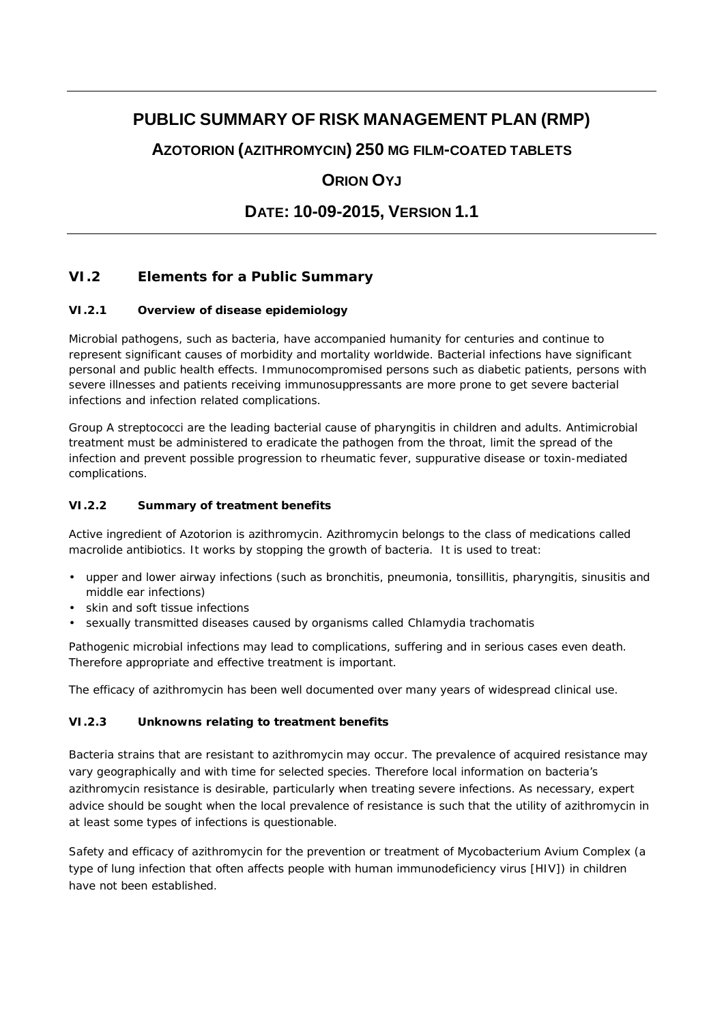# **PUBLIC SUMMARY OF RISK MANAGEMENT PLAN (RMP)**

**AZOTORION (AZITHROMYCIN) 250 MG FILM-COATED TABLETS**

# **ORION OYJ**

# **DATE: 10-09-2015, VERSION 1.1**

## **VI.2 Elements for a Public Summary**

### *VI.2.1 Overview of disease epidemiology*

Microbial pathogens, such as bacteria, have accompanied humanity for centuries and continue to represent significant causes of morbidity and mortality worldwide. Bacterial infections have significant personal and public health effects. Immunocompromised persons such as diabetic patients, persons with severe illnesses and patients receiving immunosuppressants are more prone to get severe bacterial infections and infection related complications.

Group A streptococci are the leading bacterial cause of pharyngitis in children and adults. Antimicrobial treatment must be administered to eradicate the pathogen from the throat, limit the spread of the infection and prevent possible progression to rheumatic fever, suppurative disease or toxin-mediated complications.

### *VI.2.2 Summary of treatment benefits*

Active ingredient of Azotorion is azithromycin. Azithromycin belongs to the class of medications called macrolide antibiotics. It works by stopping the growth of bacteria. It is used to treat:

- upper and lower airway infections (such as bronchitis, pneumonia, tonsillitis, pharyngitis, sinusitis and middle ear infections)
- skin and soft tissue infections
- sexually transmitted diseases caused by organisms called *Chlamydia trachomatis*

Pathogenic microbial infections may lead to complications, suffering and in serious cases even death. Therefore appropriate and effective treatment is important.

The efficacy of azithromycin has been well documented over many years of widespread clinical use.

### *VI.2.3 Unknowns relating to treatment benefits*

Bacteria strains that are resistant to azithromycin may occur. The prevalence of acquired resistance may vary geographically and with time for selected species. Therefore local information on bacteria's azithromycin resistance is desirable, particularly when treating severe infections. As necessary, expert advice should be sought when the local prevalence of resistance is such that the utility of azithromycin in at least some types of infections is questionable.

Safety and efficacy of azithromycin for the prevention or treatment of Mycobacterium Avium Complex (a type of lung infection that often affects people with human immunodeficiency virus [HIV]) in children have not been established.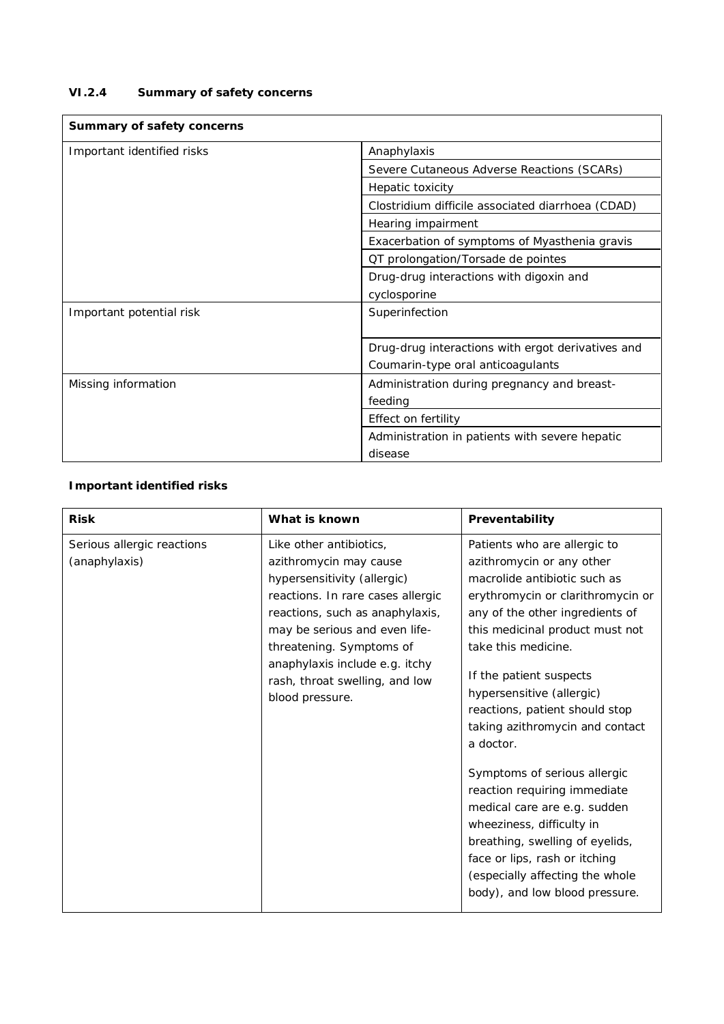## *VI.2.4 Summary of safety concerns*

| Summary of safety concerns |                                                   |  |
|----------------------------|---------------------------------------------------|--|
| Important identified risks | Anaphylaxis                                       |  |
|                            | Severe Cutaneous Adverse Reactions (SCARs)        |  |
|                            | Hepatic toxicity                                  |  |
|                            | Clostridium difficile associated diarrhoea (CDAD) |  |
|                            | Hearing impairment                                |  |
|                            | Exacerbation of symptoms of Myasthenia gravis     |  |
|                            | QT prolongation/Torsade de pointes                |  |
|                            | Drug-drug interactions with digoxin and           |  |
|                            | cyclosporine                                      |  |
| Important potential risk   | Superinfection                                    |  |
|                            |                                                   |  |
|                            | Drug-drug interactions with ergot derivatives and |  |
|                            | Coumarin-type oral anticoagulants                 |  |
| Missing information        | Administration during pregnancy and breast-       |  |
|                            | feeding                                           |  |
|                            | Effect on fertility                               |  |
|                            | Administration in patients with severe hepatic    |  |
|                            | disease                                           |  |

## **Important identified risks**

| <b>Risk</b>                                 | What is known                                                                                                                                                                                                                                                                                                | Preventability                                                                                                                                                                                                                                                                                                                                                                                                                                                                                                                                                                                                                              |
|---------------------------------------------|--------------------------------------------------------------------------------------------------------------------------------------------------------------------------------------------------------------------------------------------------------------------------------------------------------------|---------------------------------------------------------------------------------------------------------------------------------------------------------------------------------------------------------------------------------------------------------------------------------------------------------------------------------------------------------------------------------------------------------------------------------------------------------------------------------------------------------------------------------------------------------------------------------------------------------------------------------------------|
| Serious allergic reactions<br>(anaphylaxis) | Like other antibiotics,<br>azithromycin may cause<br>hypersensitivity (allergic)<br>reactions. In rare cases allergic<br>reactions, such as anaphylaxis,<br>may be serious and even life-<br>threatening. Symptoms of<br>anaphylaxis include e.g. itchy<br>rash, throat swelling, and low<br>blood pressure. | Patients who are allergic to<br>azithromycin or any other<br>macrolide antibiotic such as<br>erythromycin or clarithromycin or<br>any of the other ingredients of<br>this medicinal product must not<br>take this medicine.<br>If the patient suspects<br>hypersensitive (allergic)<br>reactions, patient should stop<br>taking azithromycin and contact<br>a doctor.<br>Symptoms of serious allergic<br>reaction requiring immediate<br>medical care are e.g. sudden<br>wheeziness, difficulty in<br>breathing, swelling of eyelids,<br>face or lips, rash or itching<br>(especially affecting the whole<br>body), and low blood pressure. |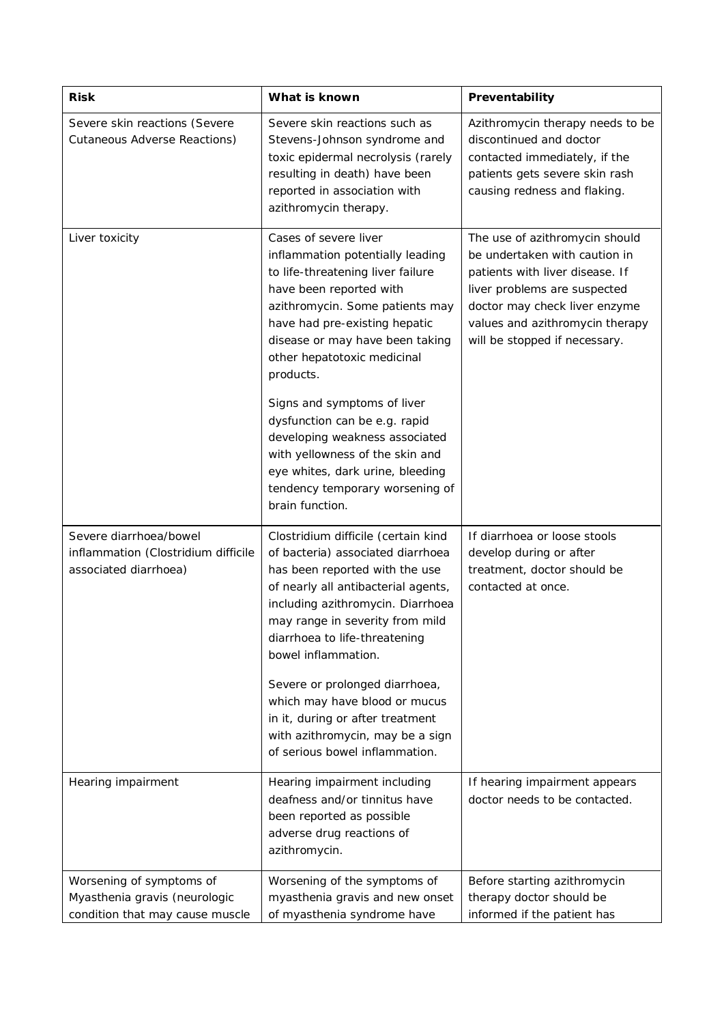| <b>Risk</b>                                                                                  | What is known                                                                                                                                                                                                                                                                                                                                                                                                                                                                                               | Preventability                                                                                                                                                                                                                          |
|----------------------------------------------------------------------------------------------|-------------------------------------------------------------------------------------------------------------------------------------------------------------------------------------------------------------------------------------------------------------------------------------------------------------------------------------------------------------------------------------------------------------------------------------------------------------------------------------------------------------|-----------------------------------------------------------------------------------------------------------------------------------------------------------------------------------------------------------------------------------------|
| Severe skin reactions (Severe<br><b>Cutaneous Adverse Reactions)</b>                         | Severe skin reactions such as<br>Stevens-Johnson syndrome and<br>toxic epidermal necrolysis (rarely<br>resulting in death) have been<br>reported in association with<br>azithromycin therapy.                                                                                                                                                                                                                                                                                                               | Azithromycin therapy needs to be<br>discontinued and doctor<br>contacted immediately, if the<br>patients gets severe skin rash<br>causing redness and flaking.                                                                          |
| Liver toxicity                                                                               | Cases of severe liver<br>inflammation potentially leading<br>to life-threatening liver failure<br>have been reported with<br>azithromycin. Some patients may<br>have had pre-existing hepatic<br>disease or may have been taking<br>other hepatotoxic medicinal<br>products.<br>Signs and symptoms of liver<br>dysfunction can be e.g. rapid<br>developing weakness associated<br>with yellowness of the skin and<br>eye whites, dark urine, bleeding<br>tendency temporary worsening of<br>brain function. | The use of azithromycin should<br>be undertaken with caution in<br>patients with liver disease. If<br>liver problems are suspected<br>doctor may check liver enzyme<br>values and azithromycin therapy<br>will be stopped if necessary. |
| Severe diarrhoea/bowel<br>inflammation (Clostridium difficile<br>associated diarrhoea)       | Clostridium difficile (certain kind<br>of bacteria) associated diarrhoea<br>has been reported with the use<br>of nearly all antibacterial agents,<br>including azithromycin. Diarrhoea<br>may range in severity from mild<br>diarrhoea to life-threatening<br>bowel inflammation.<br>Severe or prolonged diarrhoea,<br>which may have blood or mucus<br>in it, during or after treatment<br>with azithromycin, may be a sign<br>of serious bowel inflammation.                                              | If diarrhoea or loose stools<br>develop during or after<br>treatment, doctor should be<br>contacted at once.                                                                                                                            |
| Hearing impairment                                                                           | Hearing impairment including<br>deafness and/or tinnitus have<br>been reported as possible<br>adverse drug reactions of<br>azithromycin.                                                                                                                                                                                                                                                                                                                                                                    | If hearing impairment appears<br>doctor needs to be contacted.                                                                                                                                                                          |
| Worsening of symptoms of<br>Myasthenia gravis (neurologic<br>condition that may cause muscle | Worsening of the symptoms of<br>myasthenia gravis and new onset<br>of myasthenia syndrome have                                                                                                                                                                                                                                                                                                                                                                                                              | Before starting azithromycin<br>therapy doctor should be<br>informed if the patient has                                                                                                                                                 |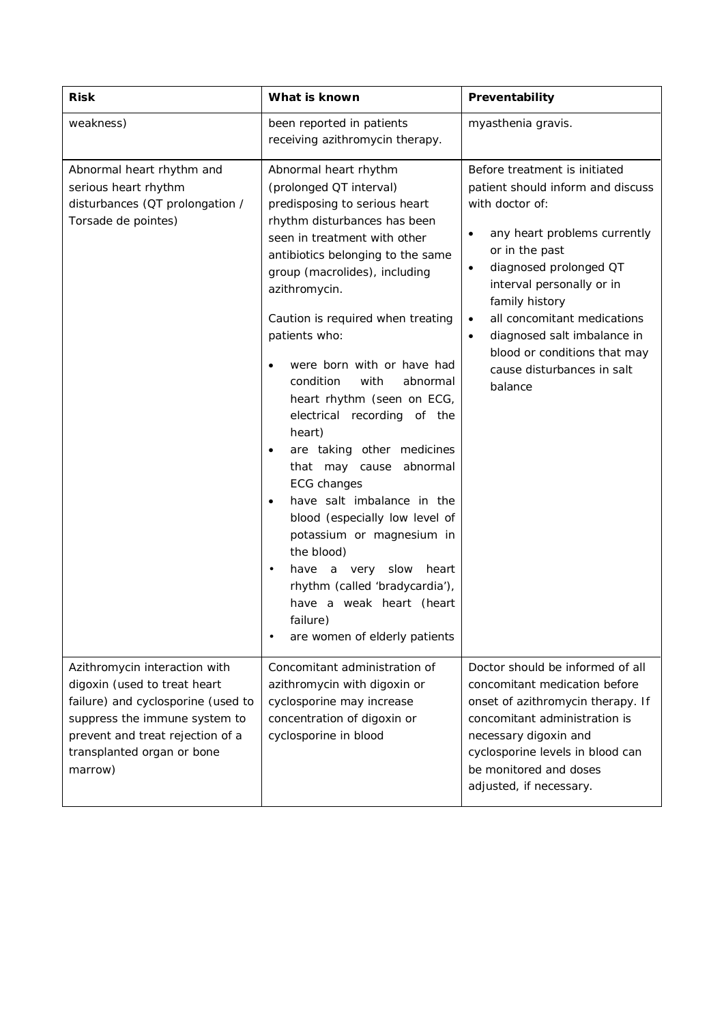| Risk                                                                                                                                                                                                              | What is known                                                                                                                                                                                                                                                                                                                                                                                                                                                                                                                                                                                                                                                                                                                                                                                                       | Preventability                                                                                                                                                                                                                                                                                                                                                                                      |  |
|-------------------------------------------------------------------------------------------------------------------------------------------------------------------------------------------------------------------|---------------------------------------------------------------------------------------------------------------------------------------------------------------------------------------------------------------------------------------------------------------------------------------------------------------------------------------------------------------------------------------------------------------------------------------------------------------------------------------------------------------------------------------------------------------------------------------------------------------------------------------------------------------------------------------------------------------------------------------------------------------------------------------------------------------------|-----------------------------------------------------------------------------------------------------------------------------------------------------------------------------------------------------------------------------------------------------------------------------------------------------------------------------------------------------------------------------------------------------|--|
| weakness)                                                                                                                                                                                                         | been reported in patients<br>receiving azithromycin therapy.                                                                                                                                                                                                                                                                                                                                                                                                                                                                                                                                                                                                                                                                                                                                                        | myasthenia gravis.                                                                                                                                                                                                                                                                                                                                                                                  |  |
| Abnormal heart rhythm and<br>serious heart rhythm<br>disturbances (QT prolongation /<br>Torsade de pointes)                                                                                                       | Abnormal heart rhythm<br>(prolonged QT interval)<br>predisposing to serious heart<br>rhythm disturbances has been<br>seen in treatment with other<br>antibiotics belonging to the same<br>group (macrolides), including<br>azithromycin.<br>Caution is required when treating<br>patients who:<br>were born with or have had<br>condition<br>with<br>abnormal<br>heart rhythm (seen on ECG,<br>electrical recording of the<br>heart)<br>are taking other medicines<br>$\bullet$<br>that may cause<br>abnormal<br><b>ECG</b> changes<br>have salt imbalance in the<br>$\bullet$<br>blood (especially low level of<br>potassium or magnesium in<br>the blood)<br>have a very<br>slow<br>heart<br>$\bullet$<br>rhythm (called 'bradycardia'),<br>have a weak heart (heart<br>failure)<br>are women of elderly patients | Before treatment is initiated<br>patient should inform and discuss<br>with doctor of:<br>any heart problems currently<br>٠<br>or in the past<br>diagnosed prolonged QT<br>$\bullet$<br>interval personally or in<br>family history<br>all concomitant medications<br>$\bullet$<br>diagnosed salt imbalance in<br>$\bullet$<br>blood or conditions that may<br>cause disturbances in salt<br>balance |  |
| Azithromycin interaction with<br>digoxin (used to treat heart<br>failure) and cyclosporine (used to<br>suppress the immune system to<br>prevent and treat rejection of a<br>transplanted organ or bone<br>marrow) | Concomitant administration of<br>azithromycin with digoxin or<br>cyclosporine may increase<br>concentration of digoxin or<br>cyclosporine in blood                                                                                                                                                                                                                                                                                                                                                                                                                                                                                                                                                                                                                                                                  | Doctor should be informed of all<br>concomitant medication before<br>onset of azithromycin therapy. If<br>concomitant administration is<br>necessary digoxin and<br>cyclosporine levels in blood can<br>be monitored and doses<br>adjusted, if necessary.                                                                                                                                           |  |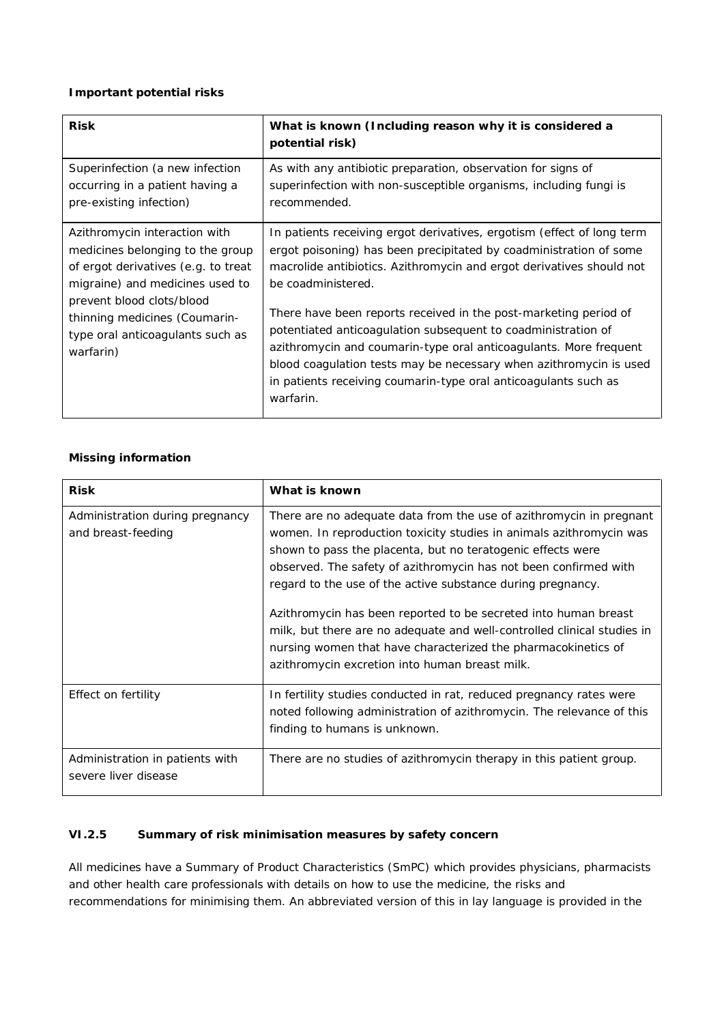### **Important potential risks**

| <b>Risk</b>                                                                                                                                                                                                                                                | What is known (Including reason why it is considered a<br>potential risk)                                                                                                                                                                                                                                                                                                                                                                                                                                                                                                                                  |
|------------------------------------------------------------------------------------------------------------------------------------------------------------------------------------------------------------------------------------------------------------|------------------------------------------------------------------------------------------------------------------------------------------------------------------------------------------------------------------------------------------------------------------------------------------------------------------------------------------------------------------------------------------------------------------------------------------------------------------------------------------------------------------------------------------------------------------------------------------------------------|
| Superinfection (a new infection<br>occurring in a patient having a<br>pre-existing infection)                                                                                                                                                              | As with any antibiotic preparation, observation for signs of<br>superinfection with non-susceptible organisms, including fungi is<br>recommended.                                                                                                                                                                                                                                                                                                                                                                                                                                                          |
| Azithromycin interaction with<br>medicines belonging to the group<br>of ergot derivatives (e.g. to treat<br>migraine) and medicines used to<br>prevent blood clots/blood<br>thinning medicines (Coumarin-<br>type oral anticoagulants such as<br>warfarin) | In patients receiving ergot derivatives, ergotism (effect of long term<br>ergot poisoning) has been precipitated by coadministration of some<br>macrolide antibiotics. Azithromycin and ergot derivatives should not<br>be coadministered.<br>There have been reports received in the post-marketing period of<br>potentiated anticoagulation subsequent to coadministration of<br>azithromycin and coumarin-type oral anticoagulants. More frequent<br>blood coagulation tests may be necessary when azithromycin is used<br>in patients receiving coumarin-type oral anticoagulants such as<br>warfarin. |

### **Missing information**

| <b>Risk</b>                                             | What is known                                                                                                                                                                                                                                                                                                                                                                                                                                                                                                                                                                                                 |
|---------------------------------------------------------|---------------------------------------------------------------------------------------------------------------------------------------------------------------------------------------------------------------------------------------------------------------------------------------------------------------------------------------------------------------------------------------------------------------------------------------------------------------------------------------------------------------------------------------------------------------------------------------------------------------|
| Administration during pregnancy<br>and breast-feeding   | There are no adequate data from the use of azithromycin in pregnant<br>women. In reproduction toxicity studies in animals azithromycin was<br>shown to pass the placenta, but no teratogenic effects were<br>observed. The safety of azithromycin has not been confirmed with<br>regard to the use of the active substance during pregnancy.<br>Azithromycin has been reported to be secreted into human breast<br>milk, but there are no adequate and well-controlled clinical studies in<br>nursing women that have characterized the pharmacokinetics of<br>azithromycin excretion into human breast milk. |
| Effect on fertility                                     | In fertility studies conducted in rat, reduced pregnancy rates were<br>noted following administration of azithromycin. The relevance of this<br>finding to humans is unknown.                                                                                                                                                                                                                                                                                                                                                                                                                                 |
| Administration in patients with<br>severe liver disease | There are no studies of azithromycin therapy in this patient group.                                                                                                                                                                                                                                                                                                                                                                                                                                                                                                                                           |

### *VI.2.5 Summary of risk minimisation measures by safety concern*

All medicines have a Summary of Product Characteristics (SmPC) which provides physicians, pharmacists and other health care professionals with details on how to use the medicine, the risks and recommendations for minimising them. An abbreviated version of this in lay language is provided in the